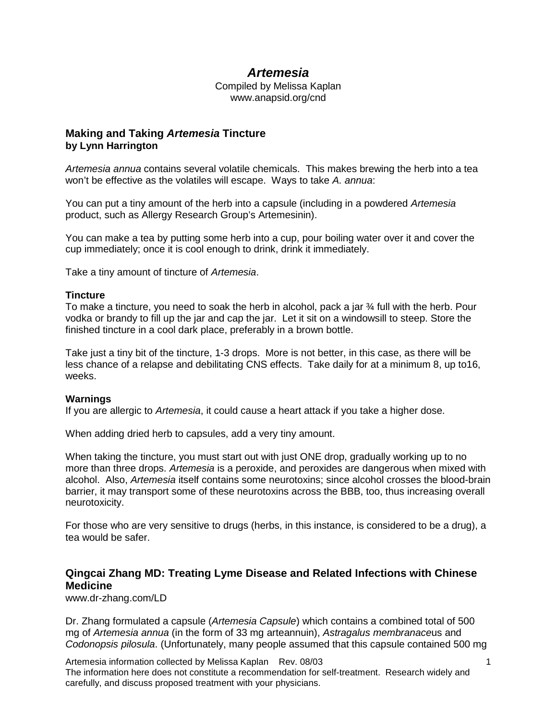# *Artemesia*

Compiled by Melissa Kaplan www.anapsid.org/cnd

## **Making and Taking** *Artemesia* **Tincture by Lynn Harrington**

*Artemesia annua* contains several volatile chemicals. This makes brewing the herb into a tea won't be effective as the volatiles will escape. Ways to take *A. annua*:

You can put a tiny amount of the herb into a capsule (including in a powdered *Artemesia* product, such as Allergy Research Group's Artemesinin).

You can make a tea by putting some herb into a cup, pour boiling water over it and cover the cup immediately; once it is cool enough to drink, drink it immediately.

Take a tiny amount of tincture of *Artemesia*.

### **Tincture**

To make a tincture, you need to soak the herb in alcohol, pack a jar ¾ full with the herb. Pour vodka or brandy to fill up the jar and cap the jar. Let it sit on a windowsill to steep. Store the finished tincture in a cool dark place, preferably in a brown bottle.

Take just a tiny bit of the tincture, 1-3 drops. More is not better, in this case, as there will be less chance of a relapse and debilitating CNS effects. Take daily for at a minimum 8, up to16, weeks.

### **Warnings**

If you are allergic to *Artemesia*, it could cause a heart attack if you take a higher dose.

When adding dried herb to capsules, add a very tiny amount.

When taking the tincture, you must start out with just ONE drop, gradually working up to no more than three drops. *Artemesia* is a peroxide, and peroxides are dangerous when mixed with alcohol. Also, *Artemesia* itself contains some neurotoxins; since alcohol crosses the blood-brain barrier, it may transport some of these neurotoxins across the BBB, too, thus increasing overall neurotoxicity.

For those who are very sensitive to drugs (herbs, in this instance, is considered to be a drug), a tea would be safer.

# **Qingcai Zhang MD: Treating Lyme Disease and Related Infections with Chinese Medicine**

www.dr-zhang.com/LD

Dr. Zhang formulated a capsule (*Artemesia Capsule*) which contains a combined total of 500 mg of *Artemesia annua* (in the form of 33 mg arteannuin), *Astragalus membranace*us and *Codonopsis pilosula*. (Unfortunately, many people assumed that this capsule contained 500 mg

Artemesia information collected by Melissa Kaplan Rev. 08/03 The information here does not constitute a recommendation for self-treatment. Research widely and carefully, and discuss proposed treatment with your physicians.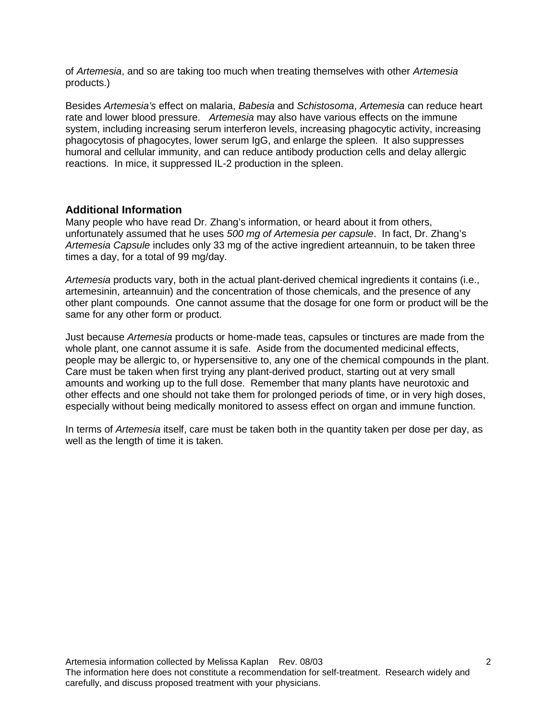of *Artemesia*, and so are taking too much when treating themselves with other *Artemesia* products.)

Besides *Artemesia's* effect on malaria, *Babesia* and *Schistosoma*, *Artemesia* can reduce heart rate and lower blood pressure. *Artemesia* may also have various effects on the immune system, including increasing serum interferon levels, increasing phagocytic activity, increasing phagocytosis of phagocytes, lower serum IgG, and enlarge the spleen. It also suppresses humoral and cellular immunity, and can reduce antibody production cells and delay allergic reactions. In mice, it suppressed IL-2 production in the spleen.

## **Additional Information**

Many people who have read Dr. Zhang's information, or heard about it from others, unfortunately assumed that he uses *500 mg of Artemesia per capsule*. In fact, Dr. Zhang's *Artemesia Capsule* includes only 33 mg of the active ingredient arteannuin, to be taken three times a day, for a total of 99 mg/day.

*Artemesia* products vary, both in the actual plant-derived chemical ingredients it contains (i.e., artemesinin, arteannuin) and the concentration of those chemicals, and the presence of any other plant compounds. One cannot assume that the dosage for one form or product will be the same for any other form or product.

Just because *Artemesia* products or home-made teas, capsules or tinctures are made from the whole plant, one cannot assume it is safe. Aside from the documented medicinal effects, people may be allergic to, or hypersensitive to, any one of the chemical compounds in the plant. Care must be taken when first trying any plant-derived product, starting out at very small amounts and working up to the full dose. Remember that many plants have neurotoxic and other effects and one should not take them for prolonged periods of time, or in very high doses, especially without being medically monitored to assess effect on organ and immune function.

In terms of *Artemesia* itself, care must be taken both in the quantity taken per dose per day, as well as the length of time it is taken.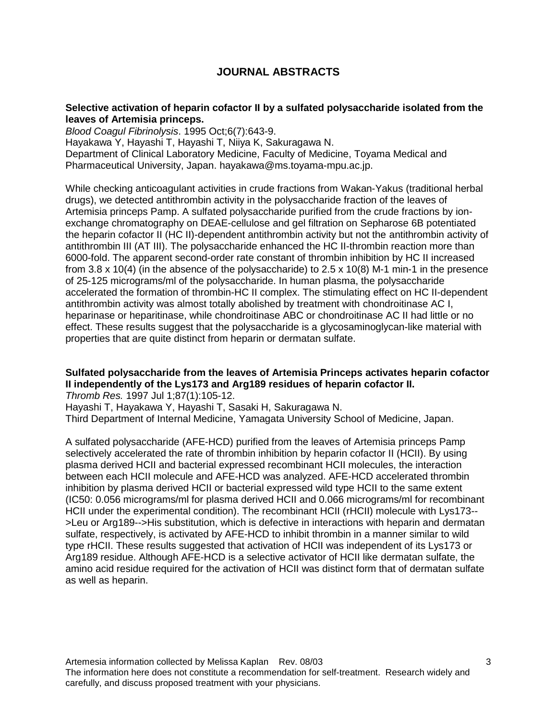# **JOURNAL ABSTRACTS**

### **Selective activation of heparin cofactor II by a sulfated polysaccharide isolated from the leaves of Artemisia princeps.**

*Blood Coagul Fibrinolysis*. 1995 Oct;6(7):643-9. Hayakawa Y, Hayashi T, Hayashi T, Niiya K, Sakuragawa N. Department of Clinical Laboratory Medicine, Faculty of Medicine, Toyama Medical and Pharmaceutical University, Japan. hayakawa@ms.toyama-mpu.ac.jp.

While checking anticoagulant activities in crude fractions from Wakan-Yakus (traditional herbal drugs), we detected antithrombin activity in the polysaccharide fraction of the leaves of Artemisia princeps Pamp. A sulfated polysaccharide purified from the crude fractions by ionexchange chromatography on DEAE-cellulose and gel filtration on Sepharose 6B potentiated the heparin cofactor II (HC II)-dependent antithrombin activity but not the antithrombin activity of antithrombin III (AT III). The polysaccharide enhanced the HC II-thrombin reaction more than 6000-fold. The apparent second-order rate constant of thrombin inhibition by HC II increased from 3.8 x 10(4) (in the absence of the polysaccharide) to 2.5 x 10(8) M-1 min-1 in the presence of 25-125 micrograms/ml of the polysaccharide. In human plasma, the polysaccharide accelerated the formation of thrombin-HC II complex. The stimulating effect on HC II-dependent antithrombin activity was almost totally abolished by treatment with chondroitinase AC I, heparinase or heparitinase, while chondroitinase ABC or chondroitinase AC II had little or no effect. These results suggest that the polysaccharide is a glycosaminoglycan-like material with properties that are quite distinct from heparin or dermatan sulfate.

### **Sulfated polysaccharide from the leaves of Artemisia Princeps activates heparin cofactor II independently of the Lys173 and Arg189 residues of heparin cofactor II.**

*Thromb Res.* 1997 Jul 1;87(1):105-12.

Hayashi T, Hayakawa Y, Hayashi T, Sasaki H, Sakuragawa N.

Third Department of Internal Medicine, Yamagata University School of Medicine, Japan.

A sulfated polysaccharide (AFE-HCD) purified from the leaves of Artemisia princeps Pamp selectively accelerated the rate of thrombin inhibition by heparin cofactor II (HCII). By using plasma derived HCII and bacterial expressed recombinant HCII molecules, the interaction between each HCII molecule and AFE-HCD was analyzed. AFE-HCD accelerated thrombin inhibition by plasma derived HCII or bacterial expressed wild type HCII to the same extent (IC50: 0.056 micrograms/ml for plasma derived HCII and 0.066 micrograms/ml for recombinant HCII under the experimental condition). The recombinant HCII (rHCII) molecule with Lys173-- >Leu or Arg189-->His substitution, which is defective in interactions with heparin and dermatan sulfate, respectively, is activated by AFE-HCD to inhibit thrombin in a manner similar to wild type rHCII. These results suggested that activation of HCII was independent of its Lys173 or Arg189 residue. Although AFE-HCD is a selective activator of HCII like dermatan sulfate, the amino acid residue required for the activation of HCII was distinct form that of dermatan sulfate as well as heparin.